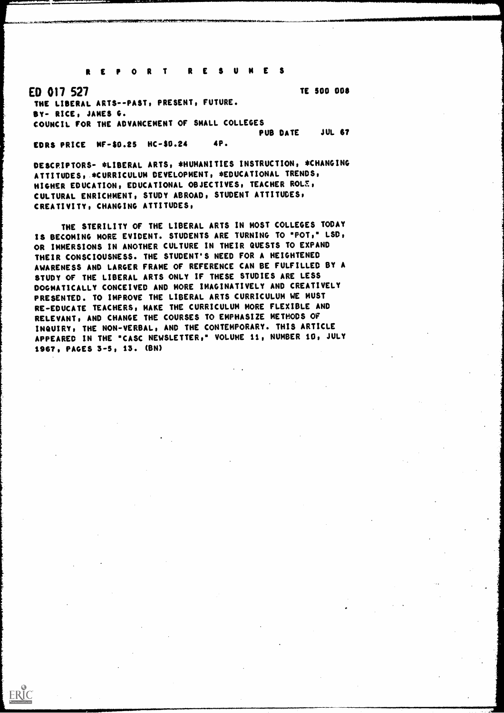REPOR T RESUMES

ED 017 527 THE LIBERAL ARTS--PAST, PRESENT, FUTURE. BY- RICE, JAMES O. COUNCIL FOR THE ADVANCEMENT OF SMALL COLLEGES PUB DATE TE 500 008 **JUL 67** 

FORS PRICE MF -\$0.25 HC -\$0.24 4P.

ERIC

DESCPIPTORS- \*LIBERAL ARTS, \*HUMANITIES INSTRUCTION, \*CHANGING ATTITUDES, - \*CURRICULUM DEVELOPMENT, \*EDUCATIONAL TRENDS, HIGHER EDUCATION, EDUCATIONAL OBJECTIVES, TEACHER ROLE, CULTURAL ENRICHMENT, STUDY ABROAD, STUDENT ATTITUDES, CREATIVITY, CHANGING ATTITUDES,

THE STERILITY OF THE LIBERAL ARTS IN MOST COLLEGES TODAY IS BECOMING MORE EVIDENT. STUDENTS ARE TURNING TO "POT," LSD, OR IMMERSIONS IN ANOTHER CULTURE IN THEIR QUESTS TO EXPAND THEIR CONSCIOUSNESS. THE STUDENT'S NEED FOR A HEIGHTENED AWARENESS AND LARGER FRAME OF REFERENCE CAN BE FULFILLED BY A STUDY OF THE LIBERAL ARTS ONLY IF THESE STUDIES ARE LESS DOGMATICALLY CONCEIVED AND MORE IMAGINATIVELY AND CREATIVELY PRESENTED. TO IMPROVE THE LIBERAL ARTS CURRICULUM WE MUST RE-EDUCATE TEACHERS, MAKE THE CURRICULUM MORE FLEXIBLE AND RELEVANT, AND CHANGE THE COURSES TO EMPHASIZE METHODS OF INQUIRY, THE NON-VERBAL, AND THE CONTEMPORARY. THIS ARTICLE APPEARED IN THE "CASC NEWSLETTER," VOLUME 11, NUMBER 10, JULY 1967, PAGES 3-5, 13. (BN)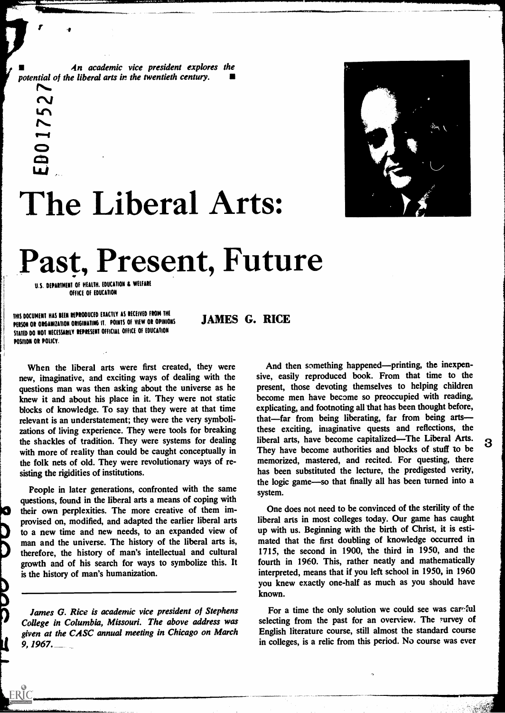4n academic vice president explores the potential of the liberal arts in the twentieth century.

O<sub>p</sub>



# The Liberal Arts:

## Past, Present, Future

U.S. DEPARTMENT OF HEALTH. EDUCATION & WELFARE OFFICE OF EDUCATION

 $\sim$ 

 $\sim$ 

Lf1

DO

D

1

 $\mathbf{u}_{\mathbf{u}}$ 

THIS DOCUMENT HAS BEEN REPRODUCED EXACTLY AS RECEIVED FROM THE PERSON OR ORGANIZATION ORIGINATING IT. POINTS OF VIEW OR OPINIONS STATED DO NOT NECESSAMLY REPRESENT OFFICIAL OFFICE OF EDUCATION POSITION OR POLICY.

JAMES G. RICE

When the liberal arts were first created, they were new, imaginative, and exciting ways of dealing with the questions man was then asking about the universe as he knew it and about his place in it. They were not static blocks of knowledge. To say that they were at that time relevant is an understatement; they were the very symbolizations of living experience. They were tools for breaking the shackles of tradition. They were systems for dealing with more of reality than could be caught conceptually in the folk nets of old. They were revolutionary ways of resisting the rigidities of institutions.

People in later generations, confronted with the same questions, found in the liberal arts a means of coping with their own perplexities. The more creative of them improvised on, modified, and adapted the earlier liberal arts to a new time and new needs, to an expanded view of man and the universe. The history of the liberal arts is, therefore, the history of man's intellectual and cultural growth and of his search for ways to symbolize this. It is the history of man's humanization.

James G. Rice is academic vice president of Stephens College in Columbia, Missouri. The above address was given at the CASC annual meeting in Chicago on March  $9,1967$ .  $-$ 

And then something happened—printing, the inexpensive, easily reproduced book. From that time to the present, those devoting themselves to helping children become men have become so preoccupied with reading, explicating, and footnoting all that has been thought before, that—far from being liberating, far from being arts these exciting, imaginative quests and reflections, the liberal arts, have become capitalized—The Liberal Arts. 3 They have become authorities and blocks of stuff to be memorized, mastered, and recited. For questing, there has been substituted the lecture, the predigested verity, the logic game-so that finally all has been turned into a system.

One does not need to be convinced of the sterility of the liberal arts in most colleges today. Our game has caught up with us. Beginning with the birth of Christ, it is estimated that the first doubling of knowledge occurred in 1715, the second in 1900, the third in 1950, and the fourth in 1960. This, rather neatly and mathematically interpreted, means that if you left school in 1950, in 1960 you knew exactly one-half as much as you should have known.

For a time the only solution we could see was careful selecting from the past for an overview. The survey of English literature course, still almost the standard course in colleges, is a relic from this period. No course was ever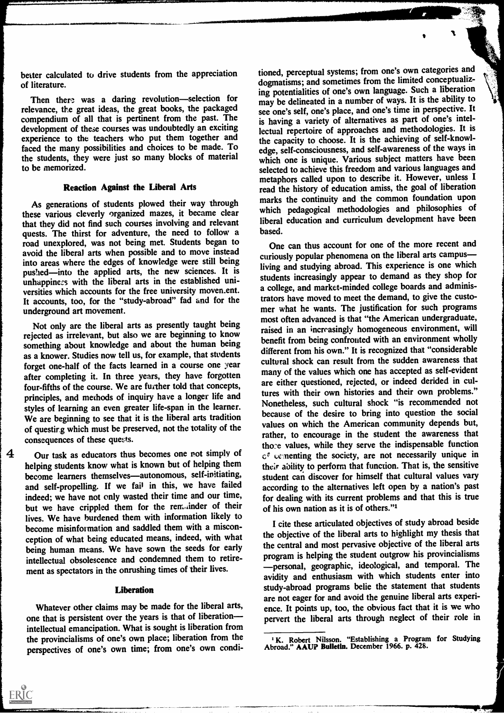better calculated to drive students from the appreciation of literature.

Then there was a daring revolution-selection for relevance, the great ideas, the great books, the packaged compendium of all that is pertinent from the past. The development of these courses was undoubtedly an exciting experience to the teachers who put them together and faced the many possibilities and choices to be made. To the students, they were just so many blocks of material to be memorized.

#### Reaction Against the Liberal Arts

As generations of students plowed their way through these various cleverly organized mazes, it became clear that they did not find such courses involving and relevant quests. The thirst for adventure, the need to follow a road unexplored, was not being met. Students began to avoid the liberal arts when possible and to move instead into areas where the edges of knowledge were still being pushed—into the applied arts, the new sciences. It is unhappiness with the liberal arts in the established universities which accounts for the free university moven.ent. It accounts, too, for the "study-abroad" fad and for the underground art movement.

Not only are the liberal arts as presently taught being rejected as irrelevant, but also we are beginning to know something about knowledge and about the human being as a knower. Studies now tell us, for example, that students forget one-half of the facts learned in a course one year after completing it. In three years, they have forgotten four-fifths of the course. We are further told that concepts, principles, and methods of inquiry have a longer life and styles of learning an even greater life-span in the learner. We are beginning to see that it is the liberal arts tradition of questing which must be preserved, not the totality of the consequences of these quests.

4 Our task as educators thus becomes one not simply of helping students know what is known but of helping them become learners themselves-autonomous, self-initiating, and self-propelling. If we fail in this, we have failed indeed; we have not only wasted their time and our time, but we have crippled them for the remainder of their lives. We have burdened them with information likely to become misinformation and saddled them with a misconception of what being educated means, indeed, with what being human means. We have sown the seeds for early intellectual obsolescence and condemned them to retirement as spectators in the onrushing times of their lives.

### **Liberation**

Whatever other claims may be made for the liberal arts, one that is persistent over the years is that of liberation intellectual emancipation. What is sought is liberation from the provincialisms of one's own place; liberation from the perspectives of one's own time; from one's own condi-

ERIC

tioned, perceptual systems; from one's own categories and dogmatisms; and sometimes from the limited conceptualizing potentialities of one's own language. Such a liberation may be delineated in a number of ways. It is the ability to see one's self, one's place, and one's time in perspective. It is having a variety of alternatives as part of one's intellectual repertoire of approaches and methodologies. It is the capacity to choose. It is the achieving of self-knowledge, self-consciousness, and self-awareness of the ways in which one is unique. Various subject matters have been selected to achieve this freedom and various languages and metaphors called upon to describe it. However, unless I read the history of education amiss, the goal of liberation marks the continuity and the common foundation upon which pedagogical methodologies and philosophies of liberal education and curriculum development have been based.

One can thus account for one of the more recent and curiously popular phenomena on the liberal arts campus living and studying abroad. This experience is one which students increasingly appear to demand as they shop for a college, and market-minded college boards and administrators have moved to meet the demand, to give the customer what he wants. The justification for such programs most often advanced is that "the American undergraduate, raised in an increasingly homogeneous environment, will benefit from being confronted with an environment wholly different from his own." It is recognized that "considerable cultural shock can result from the sudden awareness that many of the values which one has accepted as self-evident are either questioned, rejected, or indeed derided in cultures with their own histories and their own problems." Nonetheless, such cultural shock "is recommended not because of the desire to bring into question the social values on which the American community depends but, rather, to encourage in the student the awareness that tho:e values, while they serve the indispensable function  $c<sup>g</sup>$  cementing the society, are not necessarily unique in their ability to perform that function. That is, the sensitive student can discover for himself that cultural values vary according to the alternatives left open by a nation's past for dealing with its current problems and that this is true of his own nation as it is of others."'

I cite these articulated objectives of study abroad beside the objective of the liberal arts to highlight my thesis that the central and most pervasive objective of the liberal arts program is helping the student outgrow his provincialisms personal, geographic, ideological, and temporal. The avidity and enthusiasm with which students enter into study-abroad programs belie the statement that students are not eager for and avoid the genuine liberal arts experience. It points up, too, the obvious fact that it is we who pervert the liberal arts through neglect of their role in

K. Robert Nilsson. "Establishing a Program for Studying Abroad." AAUP Bulletin. December 1966. p. 428.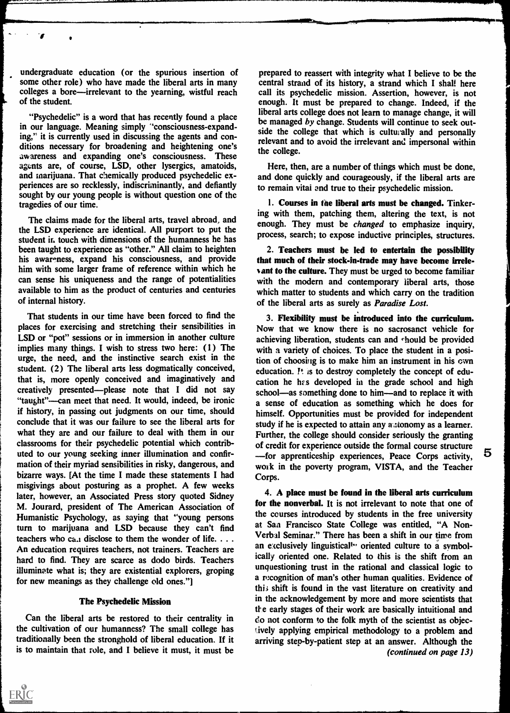undergraduate education (or the spurious insertion of some other role) who have made the liberal arts in many colleges a bore—irrelevant to the yearning, wistful reach of the student.

"Psychedelic" is a word that has recently found a place in our language. Meaning simply 'consciousness-expanding," it is currently used in discussing the agents and conditions necessary for broadening and heightening one's awareness and expanding one's consciousness. These agents are, of course, LSD, other lysergics, amatoids, and marijuana. That chemically produced psychedelic experiences are so recklessly, indiscriminantly, and defiantly sought by our young people is without question one of the tragedies of our time.

The claims made for the liberal arts, travel abroad, and the LSD experience are identical. All purport to put the student in touch with dimensions of the humanness he has been taught to experience as "other." All claim to heighten his awareness, expand his consciousness, and provide him with some larger frame of reference within which he can sense his uniqueness and the range of potentialities available to him as the product of centuries and centuries of internal history.

That students in our time have been forced to find the places for exercising and stretching their sensibilities in LSD or "pot" sessions or in immersion in another culture implies many things. I wish to stress two here: (1) The urge, the need, and the instinctive search exist in the student. (2) The liberal arts less dogmatically conceived, that is, more openly conceived and imaginatively and creatively presented--please note that I did not say "taught"—can meet that need. It would, indeed, be ironic if history, in passing out judgments on our time, should conclude that it was our failure to see the liberal arts for what they are and our failure to deal with them in our classrooms for their psychedelic potential which contributed to our young seeking inner illumination and confirmation of their myriad sensibilities in risky, dangerous, and bizarre ways. [At the time I made these statements I had misgivings about posturing as a prophet. A few weeks later, however, an Associated Press story quoted Sidney M. Jourard, president of The American Association of Humanistic Psychology, as saying that "young persons turn to marijuana and LSD because they can't find teachers who ca. disclose to them the wonder of life.  $\dots$ An education requires teachers, not trainers. Teachers are hard to find. They are scarce as dodo birds. Teachers illuminate what is; they are existential explorers, groping for new meanings as they challenge old ones."

#### The Psychedelic Mission

Can the liberal arts be restored to their centrality in the cultivation of our humanness? The small college has traditionally been the stronghold of liberal education. If it is to maintain that role, and I believe it must, it must be

prepared to reassert with integrity what I believe to be the central strand of its history, a strand which I shall here call its psychedelic mission. Assertion, however, is not enough. It must be prepared to change. Indeed, if the liberal arts college does not learn to manage change, it will be managed by change. Students will continue to seek outside the college that which is culturally and personally relevant and to avoid the irrelevant and impersonal within the college.

Here, then, are a number of things which must be done, and done quickly and courageously, if the liberal arts are to remain vital and true to their psychedelic mission.

1. Courses in the liberal arts must be changed. Tinkering with them, patching them, altering the text, is not enough. They must be *changed* to emphasize inquiry, process, search; to expose inductive principles, structures.

2. Teachers must be led to entertain the possibility that much of their stock-in-trade may have become irrelevant to the culture. They must be urged to become familiar with the modern and contemporary liberal arts, those which matter to students and which carry on the tradition of the liberal arts as surely as *Paradise Lost*.

3. Flexibility must be introduced into the curriculum. Now that we know there is no sacrosanct vehicle for achieving liberation, students can and should be provided with a variety of choices. To place the student in a position of choosing is to make him an instrument in his own education. It is to destroy completely the concept of education he has developed in the grade school and high school—as something done to him—and to replace it with a sense of education as something which he does for himself. Opportunities must be provided for independent study if he is expected to attain any autonomy as a learner. Further, the college should consider seriously the granting of credit for experience outside the formal course structure<br>  $\overline{5}$ for apprenticeship experiences, Peace Corps activity, work in the poverty program, VISTA, and the Teacher Corps.

4. A place must be found in the liberal arts curriculum for the nonverbal. It is not irrelevant to note that one of the courses introduced by students in the free university at San Francisco State College was entitled, "A Non-Verbal Seminar." There has been a shift in our time from an exclusively linguistical<sup>t\*</sup> oriented culture to a symbolically oriented one. Related to this is the shift from an unquestioning trust in the rational and classical logic to a recognition of man's other human qualities. Evidence of this shift is found in the vast literature on creativity and in the acknowledgement by more and more scientists that e early stages of their work are basically intuitional and do not conform to the folk myth of the scientist as objecively applying empirical methodology to a problem and arriving step-by-patient step at an answer. Although the (continued on page 13)